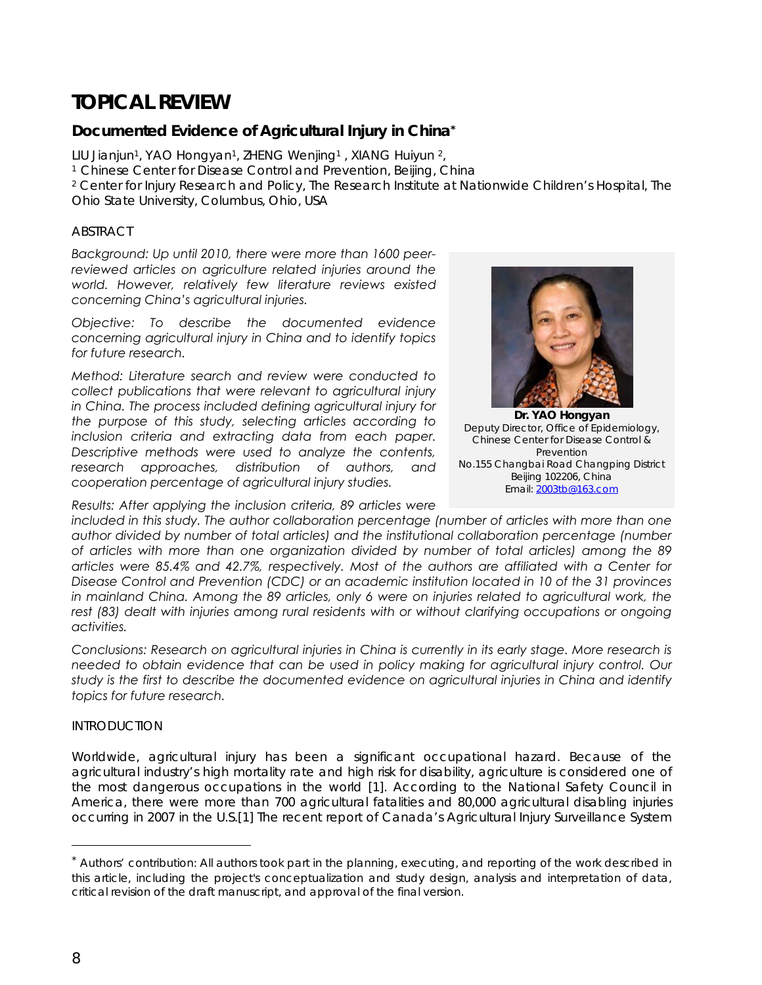# **TOPICAL REVIEW**

# **Documented Evidence of Agricultural Injury in China\***

LIU Jianjun<sup>1</sup>, YAO Hongyan<sup>1</sup>, ZHENG Wenjing<sup>1</sup>, XIANG Huiyun<sup>2</sup>,

<sup>1</sup> Chinese Center for Disease Control and Prevention, Beijing, China

2 Center for Injury Research and Policy, The Research Institute at Nationwide Children's Hospital, The Ohio State University, Columbus, Ohio, USA

# **ABSTRACT**

*Background: Up until 2010, there were more than 1600 peerreviewed articles on agriculture related injuries around the world. However, relatively few literature reviews existed concerning China's agricultural injuries.* 

*Objective: To describe the documented evidence concerning agricultural injury in China and to identify topics for future research.* 

*Method: Literature search and review were conducted to collect publications that were relevant to agricultural injury in China. The process included defining agricultural injury for the purpose of this study, selecting articles according to inclusion criteria and extracting data from each paper. Descriptive methods were used to analyze the contents, research approaches, distribution of authors, and cooperation percentage of agricultural injury studies.* 

*Results: After applying the inclusion criteria, 89 articles were* 



**Dr. YAO Hongyan**  Deputy Director, Office of Epidemiology, Chinese Center for Disease Control & Prevention No.155 Changbai Road Changping District Beijing 102206, China Email: 2003tb@163.com

*included in this study. The author collaboration percentage (number of articles with more than one author divided by number of total articles) and the institutional collaboration percentage (number of articles with more than one organization divided by number of total articles) among the 89 articles were 85.4% and 42.7%, respectively. Most of the authors are affiliated with a Center for Disease Control and Prevention (CDC) or an academic institution located in 10 of the 31 provinces*  in mainland China. Among the 89 articles, only 6 were on injuries related to agricultural work, the rest (83) dealt with injuries among rural residents with or without clarifying occupations or ongoing *activities.* 

*Conclusions: Research on agricultural injuries in China is currently in its early stage. More research is needed to obtain evidence that can be used in policy making for agricultural injury control. Our study is the first to describe the documented evidence on agricultural injuries in China and identify topics for future research.* 

# INTRODUCTION

Worldwide, agricultural injury has been a significant occupational hazard. Because of the agricultural industry's high mortality rate and high risk for disability, agriculture is considered one of the most dangerous occupations in the world [1]. According to the National Safety Council in America, there were more than 700 agricultural fatalities and 80,000 agricultural disabling injuries occurring in 2007 in the U.S.[1] The recent report of Canada's Agricultural Injury Surveillance System

l

<sup>\*</sup> Authors' contribution: All authors took part in the planning, executing, and reporting of the work described in this article, including the project's conceptualization and study design, analysis and interpretation of data, critical revision of the draft manuscript, and approval of the final version.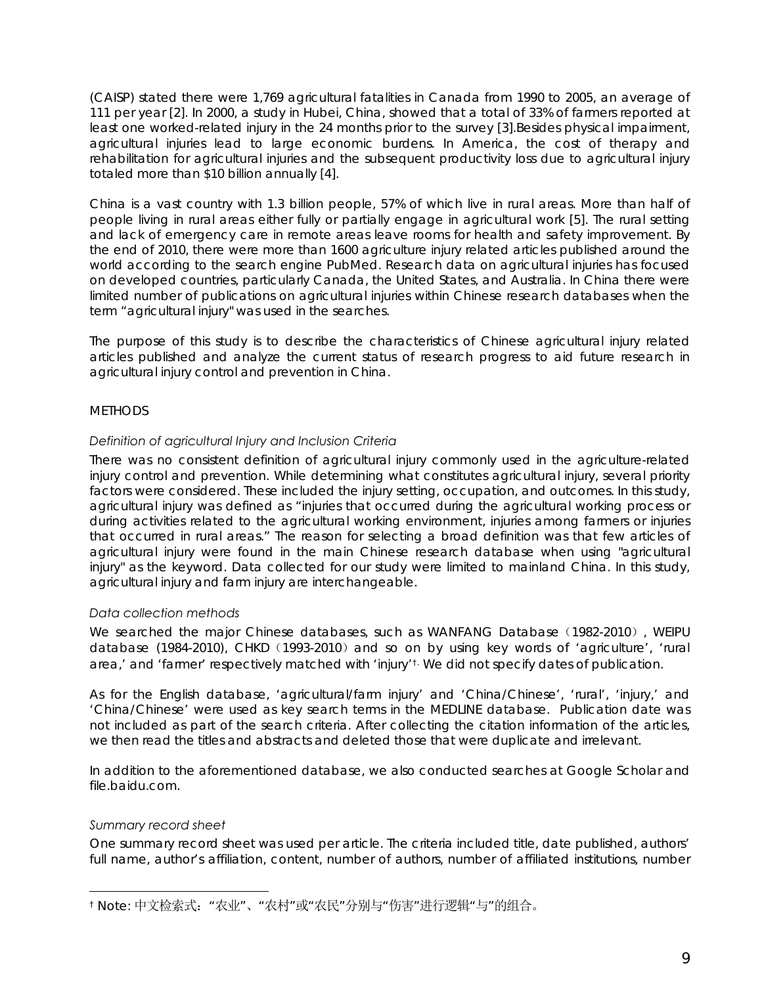(CAISP) stated there were 1,769 agricultural fatalities in Canada from 1990 to 2005, an average of 111 per year [2]. In 2000, a study in Hubei, China, showed that a total of 33% of farmers reported at least one worked-related injury in the 24 months prior to the survey [3].Besides physical impairment, agricultural injuries lead to large economic burdens. In America, the cost of therapy and rehabilitation for agricultural injuries and the subsequent productivity loss due to agricultural injury totaled more than \$10 billion annually [4].

China is a vast country with 1.3 billion people, 57% of which live in rural areas. More than half of people living in rural areas either fully or partially engage in agricultural work [5]. The rural setting and lack of emergency care in remote areas leave rooms for health and safety improvement. By the end of 2010, there were more than 1600 agriculture injury related articles published around the world according to the search engine PubMed. Research data on agricultural injuries has focused on developed countries, particularly Canada, the United States, and Australia. In China there were limited number of publications on agricultural injuries within Chinese research databases when the term "agricultural injury" was used in the searches.

The purpose of this study is to describe the characteristics of Chinese agricultural injury related articles published and analyze the current status of research progress to aid future research in agricultural injury control and prevention in China.

# **METHODS**

# *Definition of agricultural Injury and Inclusion Criteria*

There was no consistent definition of agricultural injury commonly used in the agriculture-related injury control and prevention. While determining what constitutes agricultural injury, several priority factors were considered. These included the injury setting, occupation, and outcomes. In this study, agricultural injury was defined as "injuries that occurred during the agricultural working process or during activities related to the agricultural working environment, injuries among farmers or injuries that occurred in rural areas." The reason for selecting a broad definition was that few articles of agricultural injury were found in the main Chinese research database when using "agricultural injury" as the keyword. Data collected for our study were limited to mainland China. In this study, agricultural injury and farm injury are interchangeable.

#### *Data collection methods*

We searched the major Chinese databases, such as WANFANG Database (1982-2010), WEIPU database (1984-2010), CHKD (1993-2010) and so on by using key words of 'agriculture', 'rural area,' and 'farmer' respectively matched with 'injury'<sup>t.</sup> We did not specify dates of publication.

As for the English database, 'agricultural/farm injury' and 'China/Chinese', 'rural', 'injury,' and 'China/Chinese' were used as key search terms in the MEDLINE database. Publication date was not included as part of the search criteria. After collecting the citation information of the articles, we then read the titles and abstracts and deleted those that were duplicate and irrelevant.

In addition to the aforementioned database, we also conducted searches at Google Scholar and file.baidu.com.

#### *Summary record sheet*

 $\overline{a}$ 

One summary record sheet was used per article. The criteria included title, date published, authors' full name, author's affiliation, content, number of authors, number of affiliated institutions, number

<sup>&</sup>lt;sup>†</sup> Note: 中文检索式: "农业"、"农村"或"农民"分别与"伤害"进行逻辑"与"的组合。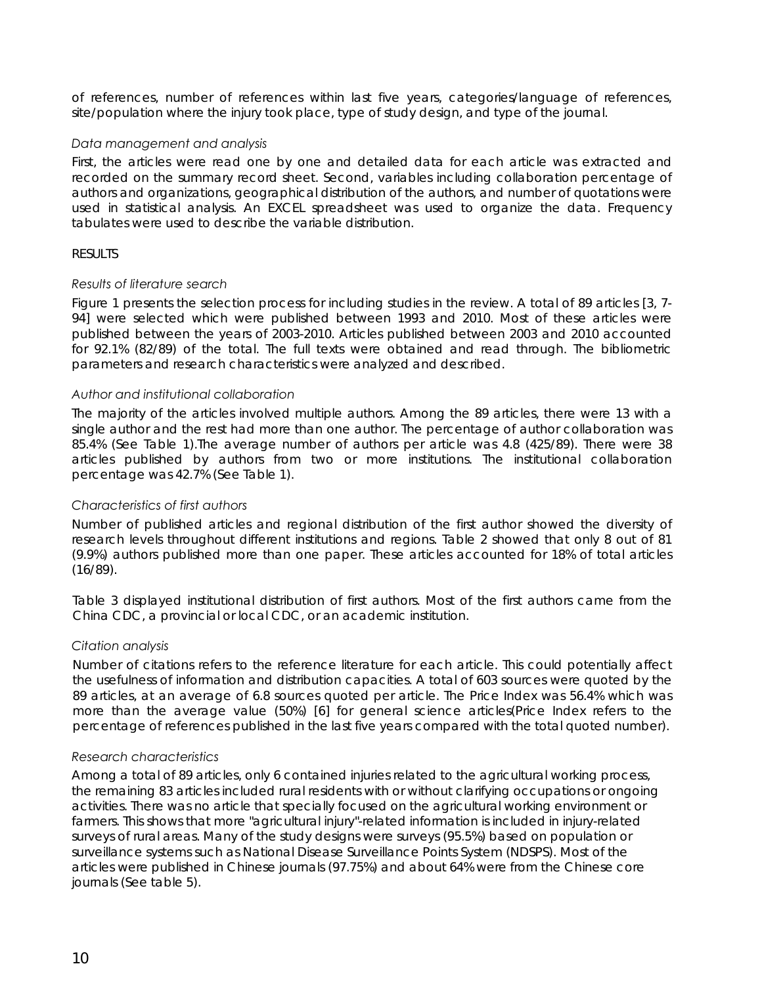of references, number of references within last five years, categories/language of references, site/population where the injury took place, type of study design, and type of the journal.

#### *Data management and analysis*

First, the articles were read one by one and detailed data for each article was extracted and recorded on the summary record sheet. Second, variables including collaboration percentage of authors and organizations, geographical distribution of the authors, and number of quotations were used in statistical analysis. An EXCEL spreadsheet was used to organize the data. Frequency tabulates were used to describe the variable distribution.

# RESULTS

# *Results of literature search*

Figure 1 presents the selection process for including studies in the review. A total of 89 articles [3, 7- 94] were selected which were published between 1993 and 2010. Most of these articles were published between the years of 2003-2010. Articles published between 2003 and 2010 accounted for 92.1% (82/89) of the total. The full texts were obtained and read through. The bibliometric parameters and research characteristics were analyzed and described.

# *Author and institutional collaboration*

The majority of the articles involved multiple authors. Among the 89 articles, there were 13 with a single author and the rest had more than one author. The percentage of author collaboration was 85.4% (See Table 1).The average number of authors per article was 4.8 (425/89). There were 38 articles published by authors from two or more institutions. The institutional collaboration percentage was 42.7% (See Table 1).

# *Characteristics of first authors*

Number of published articles and regional distribution of the first author showed the diversity of research levels throughout different institutions and regions. Table 2 showed that only 8 out of 81 (9.9%) authors published more than one paper. These articles accounted for 18% of total articles (16/89).

Table 3 displayed institutional distribution of first authors. Most of the first authors came from the China CDC, a provincial or local CDC, or an academic institution.

# *Citation analysis*

Number of citations refers to the reference literature for each article. This could potentially affect the usefulness of information and distribution capacities. A total of 603 sources were quoted by the 89 articles, at an average of 6.8 sources quoted per article. The Price Index was 56.4% which was more than the average value (50%) [6] for general science articles(Price Index refers to the percentage of references published in the last five years compared with the total quoted number).

#### *Research characteristics*

Among a total of 89 articles, only 6 contained injuries related to the agricultural working process, the remaining 83 articles included rural residents with or without clarifying occupations or ongoing activities. There was no article that specially focused on the agricultural working environment or farmers. This shows that more "agricultural injury"-related information is included in injury-related surveys of rural areas. Many of the study designs were surveys (95.5%) based on population or surveillance systems such as National Disease Surveillance Points System (NDSPS). Most of the articles were published in Chinese journals (97.75%) and about 64% were from the Chinese core journals (See table 5).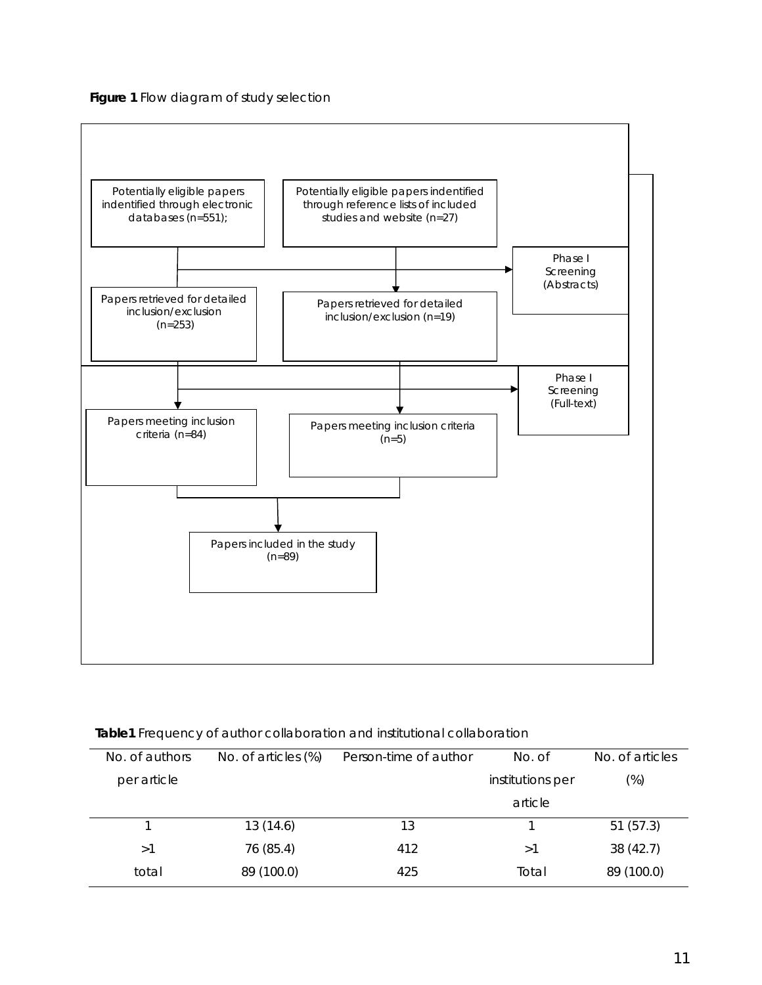**Figure 1** Flow diagram of study selection



| No. of authors | No. of articles (%) | Person-time of author | No. of           | No. of articles |
|----------------|---------------------|-----------------------|------------------|-----------------|
| per article    |                     |                       | institutions per | $(\%)$          |
|                |                     |                       | article          |                 |
|                | 13(14.6)            | 13                    |                  | 51(57.3)        |
| >1             | 76 (85.4)           | 412                   | >1               | 38(42.7)        |
| total          | 89 (100.0)          | 425                   | Total            | 89 (100.0)      |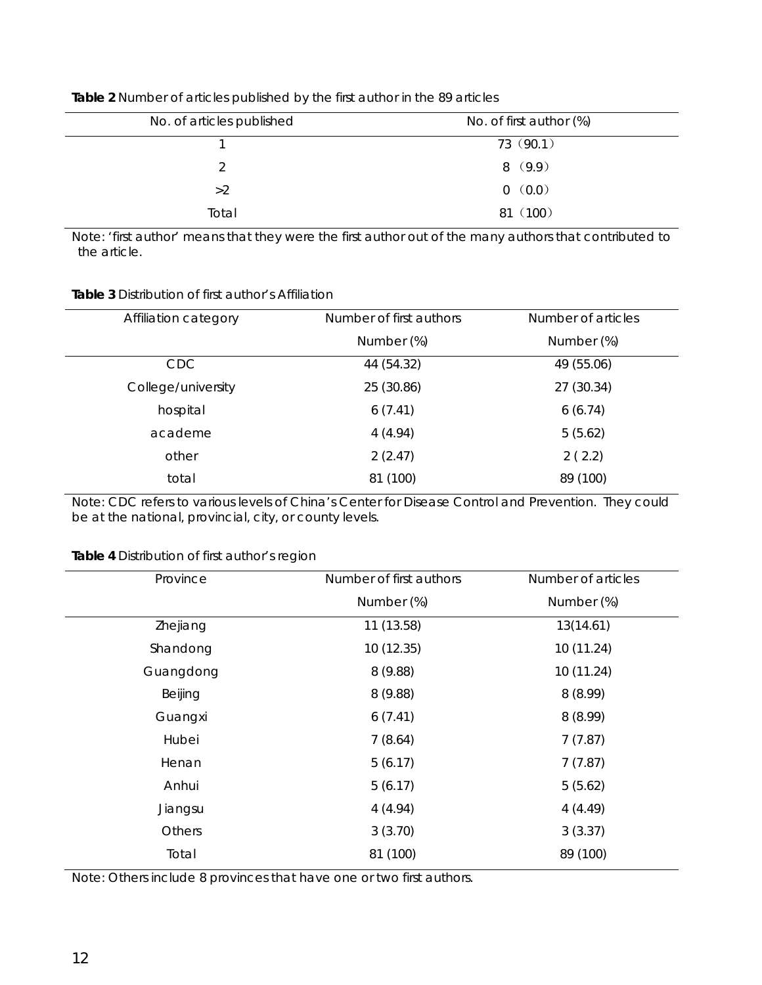| No. of articles published | No. of first author (%) |
|---------------------------|-------------------------|
|                           | 73 (90.1)               |
|                           | 8(9.9)                  |
| >2                        | 0(0.0)                  |
| Total                     | 81 (100)                |

#### **Table 2** Number of articles published by the first author in the 89 articles

Note: 'first author' means that they were the first author out of the many authors that contributed to the article.

#### **Table 3** Distribution of first author's Affiliation

| Affiliation category | Number of first authors | Number of articles |
|----------------------|-------------------------|--------------------|
|                      | Number (%)              | Number (%)         |
| <b>CDC</b>           | 44 (54.32)              | 49 (55.06)         |
| College/university   | 25 (30.86)              | 27 (30.34)         |
| hospital             | 6(7.41)                 | 6(6.74)            |
| academe              | 4(4.94)                 | 5(5.62)            |
| other                | 2(2.47)                 | 2(2.2)             |
| total                | 81 (100)                | 89 (100)           |

Note: CDC refers to various levels of China's Center for Disease Control and Prevention. They could be at the national, provincial, city, or county levels.

# **Table 4** Distribution of first author's region

| Province  | Number of first authors | Number of articles |
|-----------|-------------------------|--------------------|
|           | Number (%)              | Number (%)         |
| Zhejiang  | 11 (13.58)              | 13(14.61)          |
| Shandong  | 10(12.35)               | 10 (11.24)         |
| Guangdong | 8(9.88)                 | 10(11.24)          |
| Beijing   | 8(9.88)                 | 8(8.99)            |
| Guangxi   | 6(7.41)                 | 8(8.99)            |
| Hubei     | 7(8.64)                 | 7(7.87)            |
| Henan     | 5(6.17)                 | 7(7.87)            |
| Anhui     | 5(6.17)                 | 5(5.62)            |
| Jiangsu   | 4(4.94)                 | 4(4.49)            |
| Others    | 3(3.70)                 | 3(3.37)            |
| Total     | 81 (100)                | 89 (100)           |
|           |                         |                    |

Note: Others include 8 provinces that have one or two first authors.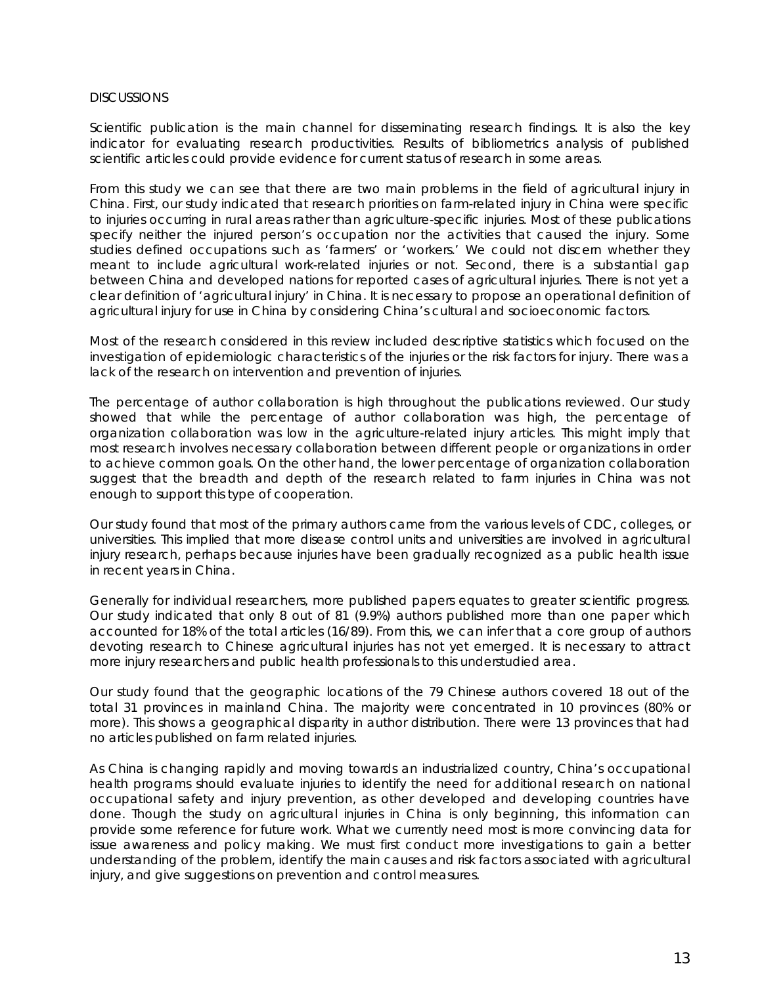#### **DISCUSSIONS**

Scientific publication is the main channel for disseminating research findings. It is also the key indicator for evaluating research productivities. Results of bibliometrics analysis of published scientific articles could provide evidence for current status of research in some areas.

From this study we can see that there are two main problems in the field of agricultural injury in China. First, our study indicated that research priorities on farm-related injury in China were specific to injuries occurring in rural areas rather than agriculture-specific injuries. Most of these publications specify neither the injured person's occupation nor the activities that caused the injury. Some studies defined occupations such as 'farmers' or 'workers.' We could not discern whether they meant to include agricultural work-related injuries or not. Second, there is a substantial gap between China and developed nations for reported cases of agricultural injuries. There is not yet a clear definition of 'agricultural injury' in China. It is necessary to propose an operational definition of agricultural injury for use in China by considering China's cultural and socioeconomic factors.

Most of the research considered in this review included descriptive statistics which focused on the investigation of epidemiologic characteristics of the injuries or the risk factors for injury. There was a lack of the research on intervention and prevention of injuries.

The percentage of author collaboration is high throughout the publications reviewed. Our study showed that while the percentage of author collaboration was high, the percentage of organization collaboration was low in the agriculture-related injury articles. This might imply that most research involves necessary collaboration between different people or organizations in order to achieve common goals. On the other hand, the lower percentage of organization collaboration suggest that the breadth and depth of the research related to farm injuries in China was not enough to support this type of cooperation.

Our study found that most of the primary authors came from the various levels of CDC, colleges, or universities. This implied that more disease control units and universities are involved in agricultural injury research, perhaps because injuries have been gradually recognized as a public health issue in recent years in China.

Generally for individual researchers, more published papers equates to greater scientific progress. Our study indicated that only 8 out of 81 (9.9%) authors published more than one paper which accounted for 18% of the total articles (16/89). From this, we can infer that a core group of authors devoting research to Chinese agricultural injuries has not yet emerged. It is necessary to attract more injury researchers and public health professionals to this understudied area.

Our study found that the geographic locations of the 79 Chinese authors covered 18 out of the total 31 provinces in mainland China. The majority were concentrated in 10 provinces (80% or more). This shows a geographical disparity in author distribution. There were 13 provinces that had no articles published on farm related injuries.

As China is changing rapidly and moving towards an industrialized country, China's occupational health programs should evaluate injuries to identify the need for additional research on national occupational safety and injury prevention, as other developed and developing countries have done. Though the study on agricultural injuries in China is only beginning, this information can provide some reference for future work. What we currently need most is more convincing data for issue awareness and policy making. We must first conduct more investigations to gain a better understanding of the problem, identify the main causes and risk factors associated with agricultural injury, and give suggestions on prevention and control measures.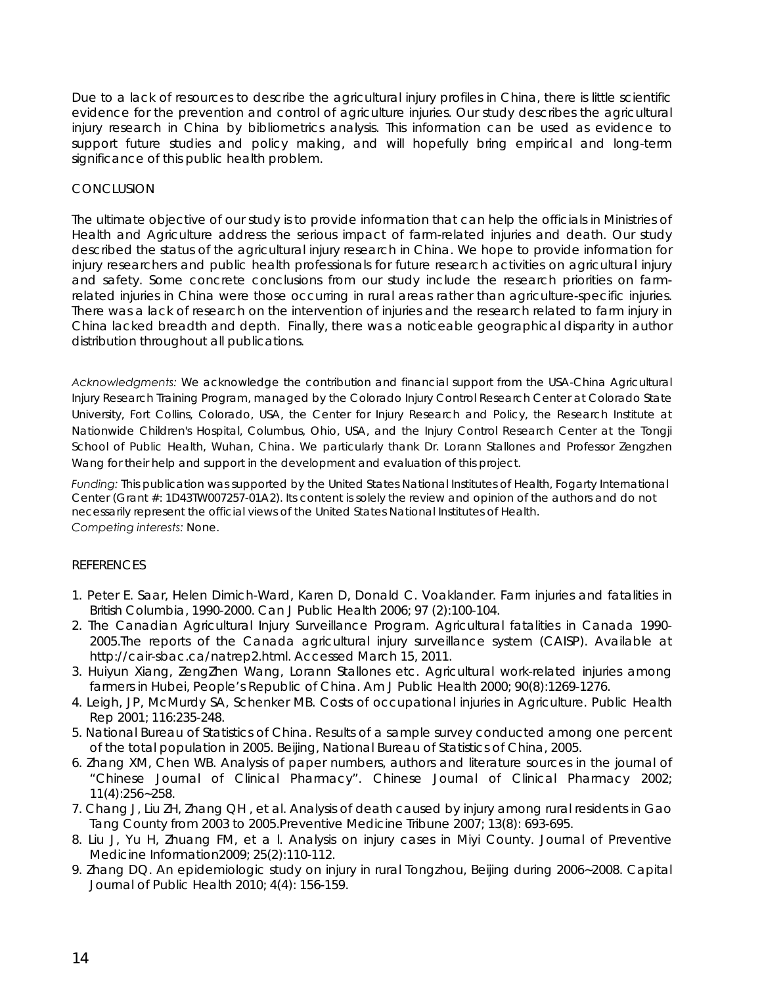Due to a lack of resources to describe the agricultural injury profiles in China, there is little scientific evidence for the prevention and control of agriculture injuries. Our study describes the agricultural injury research in China by bibliometrics analysis. This information can be used as evidence to support future studies and policy making, and will hopefully bring empirical and long-term significance of this public health problem.

# **CONCLUSION**

The ultimate objective of our study is to provide information that can help the officials in Ministries of Health and Agriculture address the serious impact of farm-related injuries and death. Our study described the status of the agricultural injury research in China. We hope to provide information for injury researchers and public health professionals for future research activities on agricultural injury and safety. Some concrete conclusions from our study include the research priorities on farmrelated injuries in China were those occurring in rural areas rather than agriculture-specific injuries. There was a lack of research on the intervention of injuries and the research related to farm injury in China lacked breadth and depth. Finally, there was a noticeable geographical disparity in author distribution throughout all publications.

*Acknowledgments:* We acknowledge the contribution and financial support from the USA-China Agricultural Injury Research Training Program, managed by the Colorado Injury Control Research Center at Colorado State University, Fort Collins, Colorado, USA, the Center for Injury Research and Policy, the Research Institute at Nationwide Children's Hospital, Columbus, Ohio, USA, and the Injury Control Research Center at the Tongji School of Public Health, Wuhan, China. We particularly thank Dr. Lorann Stallones and Professor Zengzhen Wang for their help and support in the development and evaluation of this project.

*Funding:* This publication was supported by the United States National Institutes of Health, Fogarty International Center (Grant #: 1D43TW007257-01A2). Its content is solely the review and opinion of the authors and do not necessarily represent the official views of the United States National Institutes of Health. *Competing interests:* None.

#### REFERENCES

- 1. Peter E. Saar, Helen Dimich-Ward, Karen D, Donald C. Voaklander. Farm injuries and fatalities in British Columbia, 1990-2000. Can J Public Health 2006; 97 (2):100-104.
- 2. The Canadian Agricultural Injury Surveillance Program. Agricultural fatalities in Canada 1990- 2005.The reports of the Canada agricultural injury surveillance system (CAISP). Available at http://cair-sbac.ca/natrep2.html. Accessed March 15, 2011.
- 3. Huiyun Xiang, ZengZhen Wang, Lorann Stallones etc. Agricultural work-related injuries among farmers in Hubei, People's Republic of China. Am J Public Health 2000; 90(8):1269-1276.
- 4. Leigh, JP, McMurdy SA, Schenker MB. Costs of occupational injuries in Agriculture. Public Health Rep 2001; 116:235-248.
- 5. National Bureau of Statistics of China. Results of a sample survey conducted among one percent of the total population in 2005. Beijing, National Bureau of Statistics of China, 2005.
- 6. Zhang XM, Chen WB. Analysis of paper numbers, authors and literature sources in the journal of "Chinese Journal of Clinical Pharmacy". Chinese Journal of Clinical Pharmacy 2002; 11(4):256~258.
- 7. Chang J, Liu ZH, Zhang QH , et al. Analysis of death caused by injury among rural residents in Gao Tang County from 2003 to 2005.Preventive Medicine Tribune 2007; 13(8): 693-695.
- 8. Liu J, Yu H, Zhuang FM, et a l. Analysis on injury cases in Miyi County. Journal of Preventive Medicine Information2009; 25(2):110-112.
- 9. Zhang DQ. An epidemiologic study on injury in rural Tongzhou, Beijing during 2006~2008. Capital Journal of Public Health 2010; 4(4): 156-159.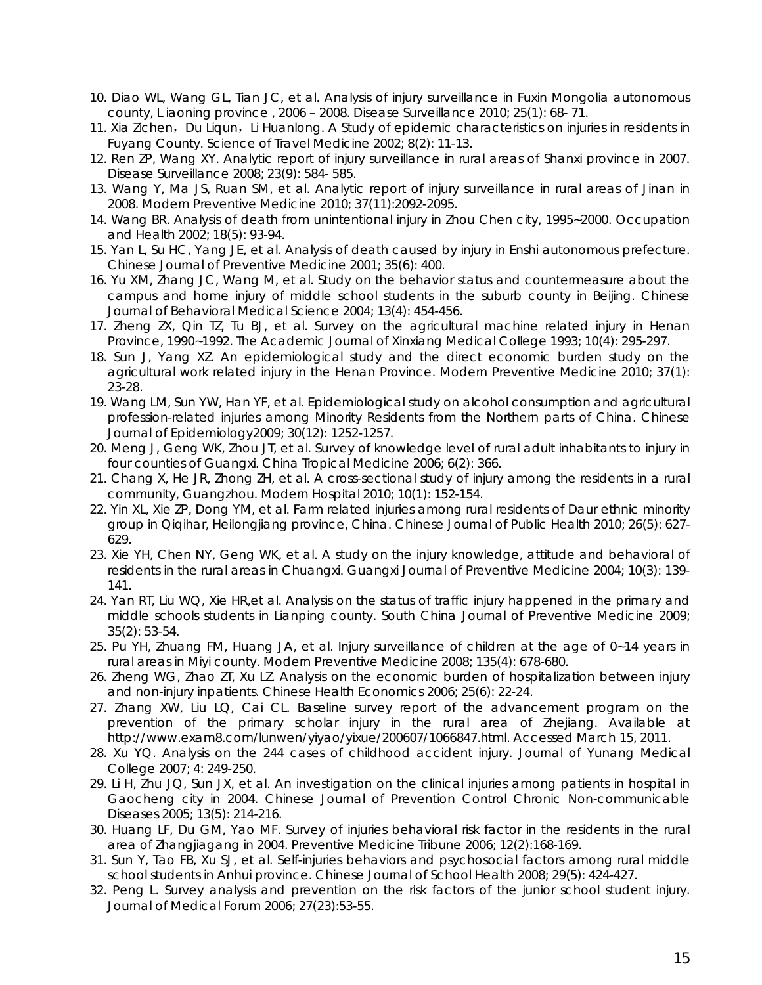- 10. Diao WL, Wang GL, Tian JC, et al. Analysis of injury surveillance in Fuxin Mongolia autonomous county, L iaoning province , 2006 – 2008. Disease Surveillance 2010; 25(1): 68- 71.
- 11. Xia Zichen, Du Liqun, Li Huanlong. A Study of epidemic characteristics on injuries in residents in Fuyang County. Science of Travel Medicine 2002; 8(2): 11-13.
- 12. Ren ZP, Wang XY. Analytic report of injury surveillance in rural areas of Shanxi province in 2007. Disease Surveillance 2008; 23(9): 584- 585.
- 13. Wang Y, Ma JS, Ruan SM, et al. Analytic report of injury surveillance in rural areas of Jinan in 2008. Modern Preventive Medicine 2010; 37(11):2092-2095.
- 14. Wang BR. Analysis of death from unintentional injury in Zhou Chen city, 1995~2000. Occupation and Health 2002; 18(5): 93-94.
- 15. Yan L, Su HC, Yang JE, et al. Analysis of death caused by injury in Enshi autonomous prefecture. Chinese Journal of Preventive Medicine 2001; 35(6): 400.
- 16. Yu XM, Zhang JC, Wang M, et al. Study on the behavior status and countermeasure about the campus and home injury of middle school students in the suburb county in Beijing. Chinese Journal of Behavioral Medical Science 2004; 13(4): 454-456.
- 17. Zheng ZX, Qin TZ, Tu BJ, et al. Survey on the agricultural machine related injury in Henan Province, 1990~1992. The Academic Journal of Xinxiang Medical College 1993; 10(4): 295-297.
- 18. Sun J, Yang XZ. An epidemiological study and the direct economic burden study on the agricultural work related injury in the Henan Province. Modern Preventive Medicine 2010; 37(1): 23-28.
- 19. Wang LM, Sun YW, Han YF, et al. Epidemiological study on alcohol consumption and agricultural profession-related injuries among Minority Residents from the Northern parts of China. Chinese Journal of Epidemiology2009; 30(12): 1252-1257.
- 20. Meng J, Geng WK, Zhou JT, et al. Survey of knowledge level of rural adult inhabitants to injury in four counties of Guangxi. China Tropical Medicine 2006; 6(2): 366.
- 21. Chang X, He JR, Zhong ZH, et al. A cross-sectional study of injury among the residents in a rural community, Guangzhou. Modern Hospital 2010; 10(1): 152-154.
- 22. Yin XL, Xie ZP, Dong YM, et al. Farm related injuries among rural residents of Daur ethnic minority group in Qiqihar, Heilongjiang province, China. Chinese Journal of Public Health 2010; 26(5): 627- 629.
- 23. Xie YH, Chen NY, Geng WK, et al. A study on the injury knowledge, attitude and behavioral of residents in the rural areas in Chuangxi. Guangxi Journal of Preventive Medicine 2004; 10(3): 139- 141.
- 24. Yan RT, Liu WQ, Xie HR,et al. Analysis on the status of traffic injury happened in the primary and middle schools students in Lianping county. South China Journal of Preventive Medicine 2009; 35(2): 53-54.
- 25. Pu YH, Zhuang FM, Huang JA, et al. Injury surveillance of children at the age of 0~14 years in rural areas in Miyi county. Modern Preventive Medicine 2008; 135(4): 678-680.
- 26. Zheng WG, Zhao ZT, Xu LZ. Analysis on the economic burden of hospitalization between injury and non-injury inpatients. Chinese Health Economics 2006; 25(6): 22-24.
- 27. Zhang XW, Liu LQ, Cai CL. Baseline survey report of the advancement program on the prevention of the primary scholar injury in the rural area of Zhejiang. Available at http://www.exam8.com/lunwen/yiyao/yixue/200607/1066847.html. Accessed March 15, 2011.
- 28. Xu YQ. Analysis on the 244 cases of childhood accident injury. Journal of Yunang Medical College 2007; 4: 249-250.
- 29. Li H, Zhu JQ, Sun JX, et al. An investigation on the clinical injuries among patients in hospital in Gaocheng city in 2004. Chinese Journal of Prevention Control Chronic Non-communicable Diseases 2005; 13(5): 214-216.
- 30. Huang LF, Du GM, Yao MF. Survey of injuries behavioral risk factor in the residents in the rural area of Zhangjiagang in 2004. Preventive Medicine Tribune 2006; 12(2):168-169.
- 31. Sun Y, Tao FB, Xu SJ, et al. Self-injuries behaviors and psychosocial factors among rural middle school students in Anhui province. Chinese Journal of School Health 2008; 29(5): 424-427.
- 32. Peng L. Survey analysis and prevention on the risk factors of the junior school student injury. Journal of Medical Forum 2006; 27(23):53-55.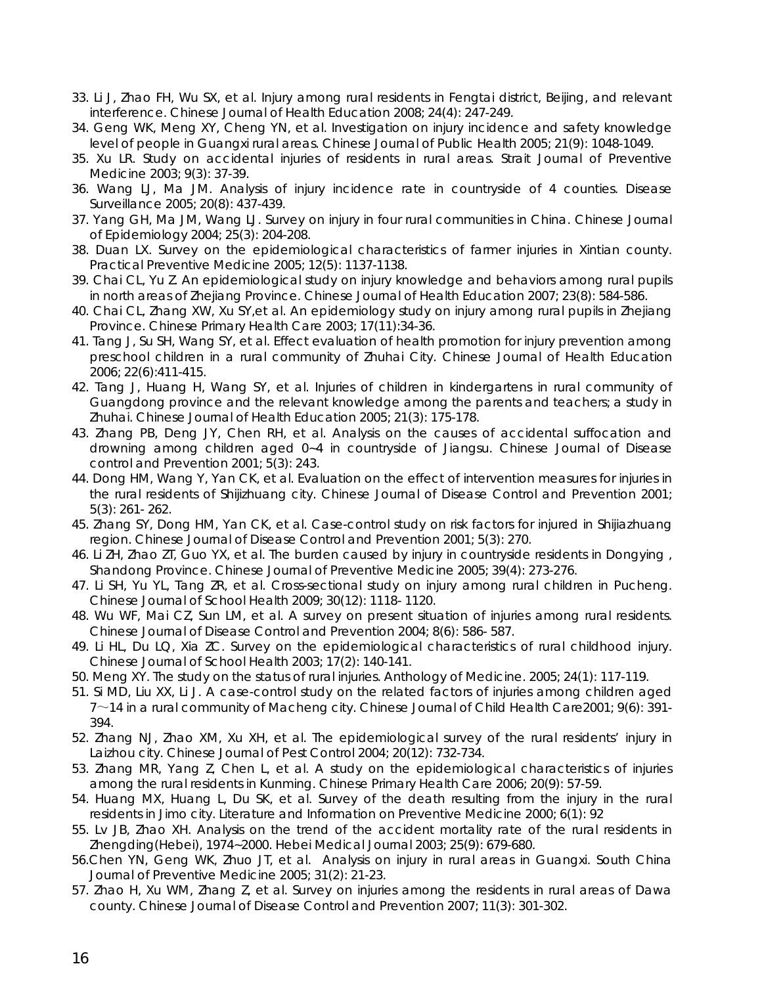- 33. Li J, Zhao FH, Wu SX, et al. Injury among rural residents in Fengtai district, Beijing, and relevant interference. Chinese Journal of Health Education 2008; 24(4): 247-249.
- 34. Geng WK, Meng XY, Cheng YN, et al. Investigation on injury incidence and safety knowledge level of people in Guangxi rural areas. Chinese Journal of Public Health 2005; 21(9): 1048-1049.
- 35. Xu LR. Study on accidental injuries of residents in rural areas. Strait Journal of Preventive Medicine 2003; 9(3): 37-39.
- 36. Wang LJ, Ma JM. Analysis of injury incidence rate in countryside of 4 counties. Disease Surveillance 2005; 20(8): 437-439.
- 37. Yang GH, Ma JM, Wang LJ. Survey on injury in four rural communities in China. Chinese Journal of Epidemiology 2004; 25(3): 204-208.
- 38. Duan LX. Survey on the epidemiological characteristics of farmer injuries in Xintian county. Practical Preventive Medicine 2005; 12(5): 1137-1138.
- 39. Chai CL, Yu Z. An epidemiological study on injury knowledge and behaviors among rural pupils in north areas of Zhejiang Province. Chinese Journal of Health Education 2007; 23(8): 584-586.
- 40. Chai CL, Zhang XW, Xu SY,et al. An epidemiology study on injury among rural pupils in Zhejiang Province. Chinese Primary Health Care 2003; 17(11):34-36.
- 41. Tang J, Su SH, Wang SY, et al. Effect evaluation of health promotion for injury prevention among preschool children in a rural community of Zhuhai City. Chinese Journal of Health Education 2006; 22(6):411-415.
- 42. Tang J, Huang H, Wang SY, et al. Injuries of children in kindergartens in rural community of Guangdong province and the relevant knowledge among the parents and teachers; a study in Zhuhai. Chinese Journal of Health Education 2005; 21(3): 175-178.
- 43. Zhang PB, Deng JY, Chen RH, et al. Analysis on the causes of accidental suffocation and drowning among children aged 0~4 in countryside of Jiangsu. Chinese Journal of Disease control and Prevention 2001; 5(3): 243.
- 44. Dong HM, Wang Y, Yan CK, et al. Evaluation on the effect of intervention measures for injuries in the rural residents of Shijizhuang city. Chinese Journal of Disease Control and Prevention 2001; 5(3): 261- 262.
- 45. Zhang SY, Dong HM, Yan CK, et al. Case-control study on risk factors for injured in Shijiazhuang region. Chinese Journal of Disease Control and Prevention 2001; 5(3): 270.
- 46. Li ZH, Zhao ZT, Guo YX, et al. The burden caused by injury in countryside residents in Dongying , Shandong Province. Chinese Journal of Preventive Medicine 2005; 39(4): 273-276.
- 47. Li SH, Yu YL, Tang ZR, et al. Cross-sectional study on injury among rural children in Pucheng. Chinese Journal of School Health 2009; 30(12): 1118- 1120.
- 48. Wu WF, Mai CZ, Sun LM, et al. A survey on present situation of injuries among rural residents. Chinese Journal of Disease Control and Prevention 2004; 8(6): 586- 587.
- 49. Li HL, Du LQ, Xia ZC. Survey on the epidemiological characteristics of rural childhood injury. Chinese Journal of School Health 2003; 17(2): 140-141.
- 50. Meng XY. The study on the status of rural injuries. Anthology of Medicine. 2005; 24(1): 117-119.
- 51. Si MD, Liu XX, Li J. A case-control study on the related factors of injuries among children aged  $7 \sim$ 14 in a rural community of Macheng city. Chinese Journal of Child Health Care2001; 9(6): 391-394.
- 52. Zhang NJ, Zhao XM, Xu XH, et al. The epidemiological survey of the rural residents' injury in Laizhou city. Chinese Journal of Pest Control 2004; 20(12): 732-734.
- 53. Zhang MR, Yang Z, Chen L, et al. A study on the epidemiological characteristics of injuries among the rural residents in Kunming. Chinese Primary Health Care 2006; 20(9): 57-59.
- 54. Huang MX, Huang L, Du SK, et al. Survey of the death resulting from the injury in the rural residents in Jimo city. Literature and Information on Preventive Medicine 2000; 6(1): 92
- 55. Lv JB, Zhao XH. Analysis on the trend of the accident mortality rate of the rural residents in Zhengding(Hebei), 1974~2000. Hebei Medical Journal 2003; 25(9): 679-680.
- 56.Chen YN, Geng WK, Zhuo JT, et al. Analysis on injury in rural areas in Guangxi. South China Journal of Preventive Medicine 2005; 31(2): 21-23.
- 57. Zhao H, Xu WM, Zhang Z, et al. Survey on injuries among the residents in rural areas of Dawa county. Chinese Journal of Disease Control and Prevention 2007; 11(3): 301-302.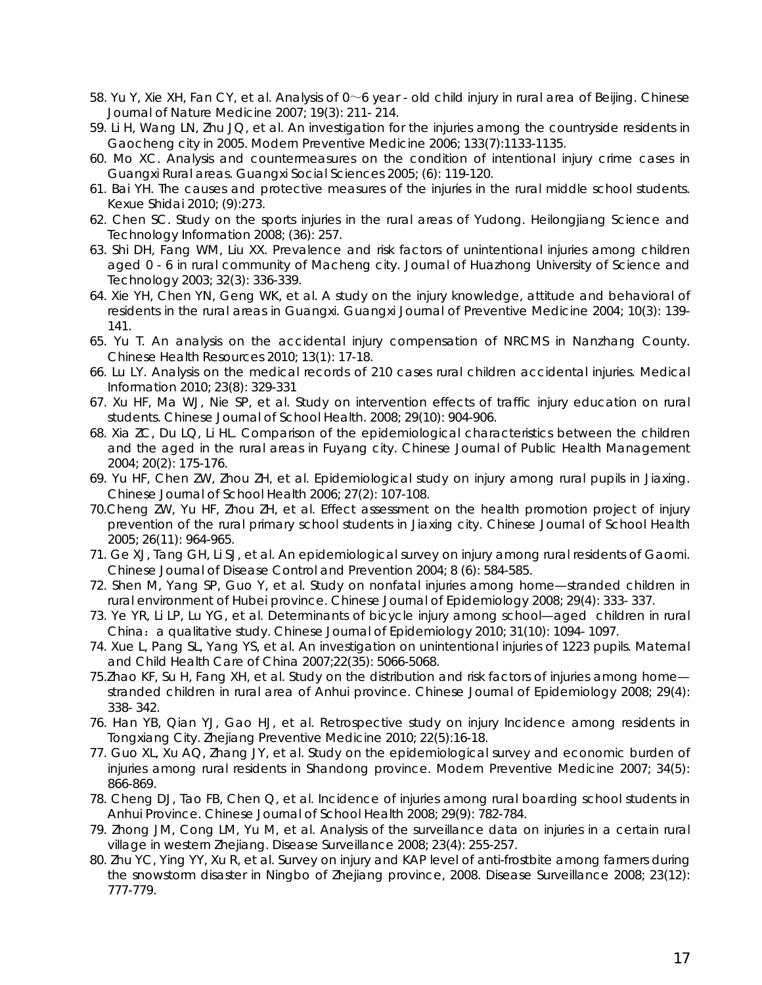- 58. Yu Y, Xie XH, Fan CY, et al. Analysis of 0~6 year old child injury in rural area of Beijing. Chinese Journal of Nature Medicine 2007; 19(3): 211- 214.
- 59. Li H, Wang LN, Zhu JQ, et al. An investigation for the injuries among the countryside residents in Gaocheng city in 2005. Modern Preventive Medicine 2006; 133(7):1133-1135.
- 60. Mo XC. Analysis and countermeasures on the condition of intentional injury crime cases in Guangxi Rural areas. Guangxi Social Sciences 2005; (6): 119-120.
- 61. Bai YH. The causes and protective measures of the injuries in the rural middle school students. Kexue Shidai 2010; (9):273.
- 62. Chen SC. Study on the sports injuries in the rural areas of Yudong. Heilongjiang Science and Technology Information 2008; (36): 257.
- 63. Shi DH, Fang WM, Liu XX. Prevalence and risk factors of unintentional injuries among children aged 0 - 6 in rural community of Macheng city. Journal of Huazhong University of Science and Technology 2003; 32(3): 336-339.
- 64. Xie YH, Chen YN, Geng WK, et al. A study on the injury knowledge, attitude and behavioral of residents in the rural areas in Guangxi. Guangxi Journal of Preventive Medicine 2004; 10(3): 139- 141.
- 65. Yu T. An analysis on the accidental injury compensation of NRCMS in Nanzhang County. Chinese Health Resources 2010; 13(1): 17-18.
- 66. Lu LY. Analysis on the medical records of 210 cases rural children accidental injuries. Medical Information 2010; 23(8): 329-331
- 67. Xu HF, Ma WJ, Nie SP, et al. Study on intervention effects of traffic injury education on rural students. Chinese Journal of School Health. 2008; 29(10): 904-906.
- 68. Xia ZC, Du LQ, Li HL. Comparison of the epidemiological characteristics between the children and the aged in the rural areas in Fuyang city. Chinese Journal of Public Health Management 2004; 20(2): 175-176.
- 69. Yu HF, Chen ZW, Zhou ZH, et al. Epidemiological study on injury among rural pupils in Jiaxing. Chinese Journal of School Health 2006; 27(2): 107-108.
- 70.Cheng ZW, Yu HF, Zhou ZH, et al. Effect assessment on the health promotion project of injury prevention of the rural primary school students in Jiaxing city. Chinese Journal of School Health 2005; 26(11): 964-965.
- 71. Ge XJ, Tang GH, Li SJ, et al. An epidemiological survey on injury among rural residents of Gaomi. Chinese Journal of Disease Control and Prevention 2004; 8 (6): 584-585.
- 72. Shen M, Yang SP, Guo Y, et al. Study on nonfatal injuries among home—stranded children in rural environment of Hubei province. Chinese Journal of Epidemiology 2008; 29(4): 333- 337.
- 73. Ye YR, Li LP, Lu YG, et al. Determinants of bicycle injury among school—aged children in rural China: a qualitative study. Chinese Journal of Epidemiology 2010; 31(10): 1094-1097.
- 74. Xue L, Pang SL, Yang YS, et al. An investigation on unintentional injuries of 1223 pupils. Maternal and Child Health Care of China 2007;22(35): 5066-5068.
- 75.Zhao KF, Su H, Fang XH, et al. Study on the distribution and risk factors of injuries among home stranded children in rural area of Anhui province. Chinese Journal of Epidemiology 2008; 29(4): 338- 342.
- 76. Han YB, Qian YJ, Gao HJ, et al. Retrospective study on injury Incidence among residents in Tongxiang City. Zhejiang Preventive Medicine 2010; 22(5):16-18.
- 77. Guo XL, Xu AQ, Zhang JY, et al. Study on the epidemiological survey and economic burden of injuries among rural residents in Shandong province. Modern Preventive Medicine 2007; 34(5): 866-869.
- 78. Cheng DJ, Tao FB, Chen Q, et al. Incidence of injuries among rural boarding school students in Anhui Province. Chinese Journal of School Health 2008; 29(9): 782-784.
- 79. Zhong JM, Cong LM, Yu M, et al. Analysis of the surveillance data on injuries in a certain rural village in western Zhejiang. Disease Surveillance 2008; 23(4): 255-257.
- 80. Zhu YC, Ying YY, Xu R, et al. Survey on injury and KAP level of anti-frostbite among farmers during the snowstorm disaster in Ningbo of Zhejiang province, 2008. Disease Surveillance 2008; 23(12): 777-779.